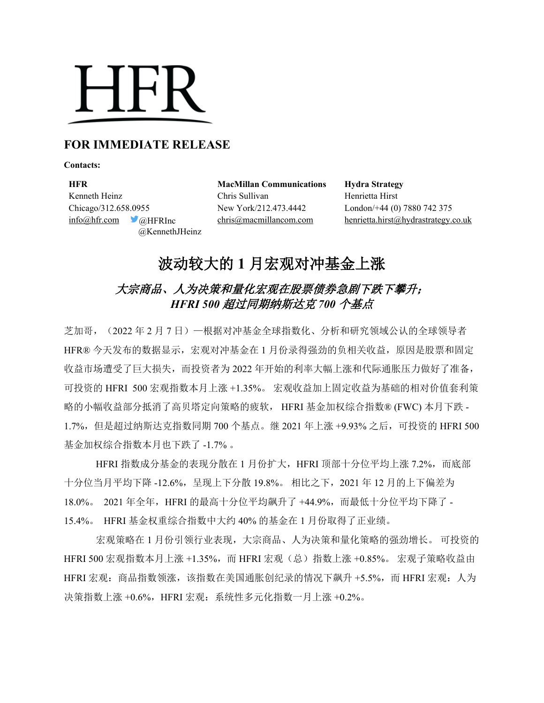# **HFR**

### **FOR IMMEDIATE RELEASE**

**Contacts:**

**HFR MacMillan Communications Hydra Strategy** Kenneth Heinz Chris Sullivan Henrietta Hirst Chicago/312.658.0955 New York/212.473.4442 London/+44 (0) 7880 742 375 @KennethJHeinz

 $inf_{\Omega}$ hfr.com  $\bigcirc_{\Omega}$ HFRInc chris $\bigcirc_{\Omega}$ macmillancom.com henrietta.hirst $\bigcirc_{\Omega}$ hydrastrategy.co.uk

## 波动较大的 **1** 月宏观对冲基金上涨

## 大宗商品、人为决策和量化宏观在股票债券急剧下跌下攀升; *HFRI 500* 超过同期纳斯达克 *700* 个基点

芝加哥,(2022 年 2 月 7 日)—根据对冲基金全球指数化、分析和研究领域公认的全球领导者 HFR® 今天发布的数据显示, 宏观对冲基金在 1 月份录得强劲的负相关收益, 原因是股票和固定 收益市场遭受了巨大损失,而投资者为 2022 年开始的利率大幅上涨和代际通胀压力做好了准备, 可投资的 HFRI 500 宏观指数本月上涨 +1.35%。 宏观收益加上固定收益为基础的相对价值套利策 略的小幅收益部分抵消了高贝塔定向策略的疲软, HFRI 基金加权综合指数® (FWC) 本月下跌 - 1.7%,但是超过纳斯达克指数同期 700 个基点。继 2021 年上涨 +9.93% 之后,可投资的 HFRI 500 基金加权综合指数本月也下跌了 -1.7% 。

HFRI 指数成分基金的表现分散在 1 月份扩大, HFRI 顶部十分位平均上涨 7.2%, 而底部 十分位当月平均下降 -12.6%,呈现上下分散 19.8%。 相比之下,2021 年 12 月的上下偏差为 18.0%。 2021 年全年,HFRI 的最高十分位平均飙升了 +44.9%,而最低十分位平均下降了 - 15.4%。 HFRI 基金权重综合指数中大约 40% 的基金在 1 月份取得了正业绩。

宏观策略在 1 月份引领行业表现,大宗商品、人为决策和量化策略的强劲增长。 可投资的 HFRI 500 宏观指数本月上涨 +1.35%,而 HFRI 宏观 (总) 指数上涨 +0.85%。 宏观子策略收益由 HFRI 宏观:商品指数领涨,该指数在美国通胀创纪录的情况下飙升 +5.5%,而 HFRI 宏观:人为 决策指数上涨 +0.6%, HFRI 宏观: 系统性多元化指数一月上涨 +0.2%。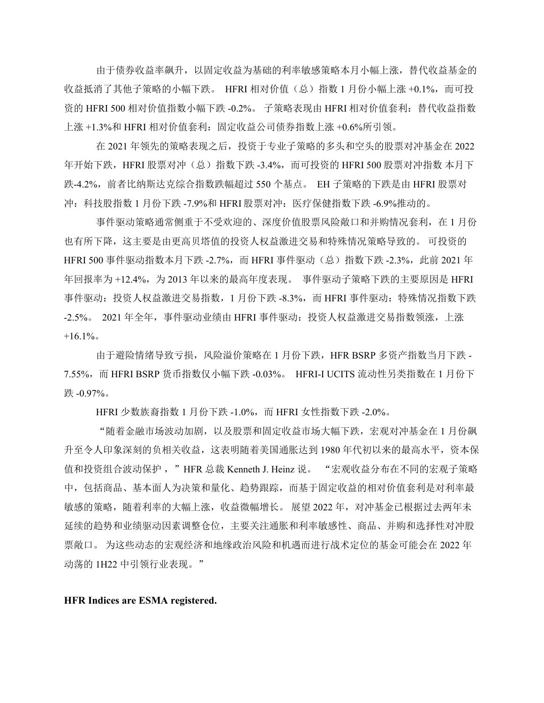由于债券收益率飙升,以固定收益为基础的利率敏感策略本月小幅上涨,替代收益基金的 收益抵消了其他子策略的小幅下跌。HFRI 相对价值(总)指数 1 月份小幅上涨 +0.1%,而可投 资的 HFRI 500 相对价值指数小幅下跌 -0.2%。 子策略表现由 HFRI 相对价值套利: 替代收益指数 上涨 +1.3%和 HFRI 相对价值套利: 固定收益公司债券指数上涨 +0.6%所引领。

在 2021 年领先的策略表现之后,投资于专业子策略的多头和空头的股票对冲基金在 2022 年开始下跌,HFRI 股票对冲(总)指数下跌 -3.4%,而可投资的 HFRI 500 股票对冲指数 本月下 跌-4.2%,前者比纳斯达克综合指数跌幅超过 550 个基点。 EH 子策略的下跌是由 HFRI 股票对 冲:科技股指数 1 月份下跌 -7.9%和 HFRI 股票对冲:医疗保健指数下跌 -6.9%推动的。

事件驱动策略通常侧重于不受欢迎的、深度价值股票风险敞口和并购情况套利,在 1 月份 也有所下降,这主要是由更高贝塔值的投资人权益激进交易和特殊情况策略导致的。 可投资的 HFRI 500 事件驱动指数本月下跌 -2.7%, 而 HFRI 事件驱动(总)指数下跌 -2.3%, 此前 2021 年 年回报率为 +12.4%, 为 2013 年以来的最高年度表现。 事件驱动子策略下跌的主要原因是 HFRI 事件驱动: 投资人权益激进交易指数, 1 月份下跌 -8.3%, 而 HFRI 事件驱动: 特殊情况指数下跌 -2.5%。 2021 年全年, 事件驱动业绩由 HFRI 事件驱动: 投资人权益激进交易指数领涨, 上涨  $+16.1\%$ 

由于避险情绪导致亏损,风险溢价策略在 1 月份下跌, HFR BSRP 多资产指数当月下跌 -7.55%,而 HFRI BSRP 货币指数仅小幅下跌 -0.03%。 HFRI-I UCITS 流动性另类指数在 1 月份下 跌 -0.97%。

HFRI 少数族裔指数 1 月份下跌 -1.0%, 而 HFRI 女性指数下跌 -2.0%。

"随着金融市场波动加剧,以及股票和固定收益市场大幅下跌,宏观对冲基金在 1 月份飙 升至令人印象深刻的负相关收益,这表明随着美国通胀达到 1980 年代初以来的最高水平,资本保 值和投资组合波动保护 ,"HFR 总裁 Kenneth J. Heinz 说。 "宏观收益分布在不同的宏观子策略 中,包括商品、基本面人为决策和量化、趋势跟踪,而基于固定收益的相对价值套利是对利率最 敏感的策略,随着利率的大幅上涨,收益微幅增长。 展望 2022 年, 对冲基金已根据过去两年未 延续的趋势和业绩驱动因素调整仓位,主要关注通胀和利率敏感性、商品、并购和选择性对冲股 票敞口。 为这些动态的宏观经济和地缘政治风险和机遇而进行战术定位的基金可能会在 2022 年 动荡的 1H22 中引领行业表现。"

**HFR Indices are ESMA registered.**